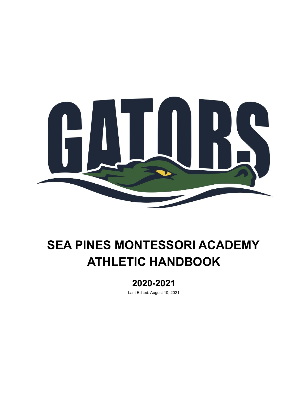

# **SEA PINES MONTESSORI ACADEMY ATHLETIC HANDBOOK**

# **2020-2021**

Last Edited: August 10, 2021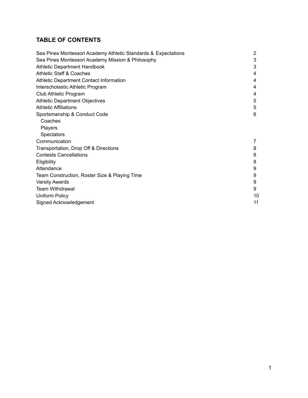# **TABLE OF CONTENTS**

| Sea Pines Montessori Academy Athletic Standards & Expectations |    |
|----------------------------------------------------------------|----|
| Sea Pines Montessori Academy Mission & Philosophy              |    |
| <b>Athletic Department Handbook</b>                            | 3  |
| <b>Athletic Staff &amp; Coaches</b>                            | 4  |
| Athletic Department Contact Information                        | 4  |
| Interscholastic Athletic Program                               | 4  |
| Club Athletic Program                                          | 4  |
| <b>Athletic Department Objectives</b>                          | 5  |
| <b>Athletic Affiliations</b>                                   | 5  |
| Sportsmanship & Conduct Code                                   | 6  |
| Coaches                                                        |    |
| <b>Players</b>                                                 |    |
| <b>Spectators</b>                                              |    |
| Communication                                                  | 7  |
| Transportation, Drop Off & Directions                          | 8  |
| <b>Contests Cancellations</b>                                  | 8  |
| Eligibility                                                    | 8  |
| Attendance                                                     | 9  |
| Team Construction, Roster Size & Playing Time                  | 9  |
| <b>Varsity Awards</b>                                          | 9  |
| <b>Team Withdrawal</b>                                         | 9  |
| Uniform Policy                                                 | 10 |
| Signed Acknowledgement                                         | 11 |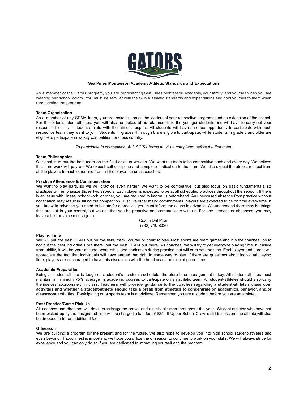

### **Sea Pines Montessori Academy Athletic Standards and Expectations**

As a member of the Gators program, you are representing Sea Pines Montessori Academy, your family, and yourself when you are wearing our school colors. You must be familiar with the SPMA athletic standards and expectations and hold yourself to them when representing the program.

### **Team Organization**

As a member of any SPMA team, you are looked upon as the leaders of your respective programs and an extension of the school. For the older student-athletes, you will also be looked at as role models to the younger students and will have to carry out your responsibilities as a student-athlete with the utmost respect. All students will have an equal opportunity to participate with each respective team they want to join. Students in grades 4 through 8 are eligible to participate, while students in grade 6 and older are eligible to participate in varsity competition for cross country.

*To participate in competition, ALL SCISA forms must be completed before the first meet.*

### **Team Philosophies**

Our goal is to put the best team on the field or court we can. We want the team to be competitive each and every day. We believe that hard work will pay off. We expect self-discipline and complete dedication to the team. We also expect the utmost respect from all the players to each other and from all the players to us as coaches.

#### **Practice Attendance & Communication**

We want to play hard, so we will practice even harder. We want to be competitive, but also focus on basic fundamentals, so practices will emphasize those two aspects. Each player is expected to be at all scheduled practices throughout the season. If there is an issue with illness, schoolwork, or other, you are required to inform us beforehand. An unexcused absence from practice without notification may result in sitting out competition. Just like other major commitments, players are expected to be on time every time. If you know in advance you need to be late for a practice, you must inform the coach in advance. We understand there may be things that are not in your control, but we ask that you be proactive and communicate with us. For any lateness or absences, you may leave a text or voice message to:

Coach Dat Phan (732) 710-8330

### **Playing Time**

We will put the best TEAM out on the field, track, course or court to play. Most sports are team games and it is the coaches' job to not put the best individuals out there, but the best TEAM out there. As coaches, we will try to get everyone playing time, but aside from ability, it will be your attitude, work ethic, and dedication during practice that will earn you the time. Each player and parent will appreciate the fact that individuals will have earned that right in some way to play. If there are questions about individual playing time, players are encouraged to have this discussion with the head coach outside of game time.

#### **Academic Preparation**

Being a student-athlete is tough on a student's academic schedule. therefore time management is key. All student-athletes must maintain a minimum 75% average in academic courses to participate on an athletic team. All student-athletes should also carry themselves appropriately in class. **Teachers will provide guidance to the coaches regarding a student-athlete's classroom** activities and whether a student-athlete should take a break from athletics to concentrate on academics, behavior, and/or **classroom activities.** Participating on a sports team is a privilege. Remember, you are a student before you are an athlete.

#### **Post Practice/Game Pick Up**

All coaches and directors will detail practice/game arrival and dismissal times throughout the year. Student athletes who have not been picked up by the designated time will be charged a late fee of \$25. If Upper School Crew is still in session, the athlete will also be dropped-in for an additional fee.

#### **Offseason**

We are building a program for the present and for the future. We also hope to develop you into high school student-athletes and even beyond. Though rest is important, we hope you utilize the offseason to continue to work on your skills. We will always strive for excellence and you can only do so if you are dedicated to improving yourself and the program.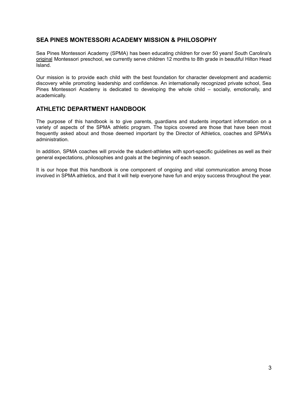# **SEA PINES MONTESSORI ACADEMY MISSION & PHILOSOPHY**

Sea Pines Montessori Academy (SPMA) has been educating children for over 50 years! South Carolina's [original](http://seapinesmontessori.com/history-of-school/) Montessori preschool, we currently serve children 12 months to 8th grade in beautiful Hilton Head Island.

Our mission is to provide each child with the best foundation for character development and academic discovery while promoting leadership and confidence. An internationally recognized private school, Sea Pines Montessori Academy is dedicated to developing the whole child – socially, emotionally, and academically.

# **ATHLETIC DEPARTMENT HANDBOOK**

The purpose of this handbook is to give parents, guardians and students important information on a variety of aspects of the SPMA athletic program. The topics covered are those that have been most frequently asked about and those deemed important by the Director of Athletics, coaches and SPMA's administration.

In addition, SPMA coaches will provide the student-athletes with sport-specific guidelines as well as their general expectations, philosophies and goals at the beginning of each season.

It is our hope that this handbook is one component of ongoing and vital communication among those involved in SPMA athletics, and that it will help everyone have fun and enjoy success throughout the year.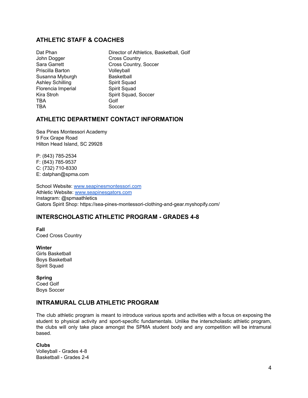# **ATHLETIC STAFF & COACHES**

John Dogger Cross Country Priscilla Barton Volleyball Susanna Myburgh Basketball Ashley Schilling Spirit Squad Florencia Imperial Spirit Squad TBA Golf TBA Soccer

Dat Phan Director of Athletics, Basketball, Golf Sara Garrett Cross Country, Soccer Kira Stroh Spirit Squad, Soccer

# **ATHLETIC DEPARTMENT CONTACT INFORMATION**

Sea Pines Montessori Academy 9 Fox Grape Road Hilton Head Island, SC 29928

P: (843) 785-2534 F: (843) 785-9537 C: (732) 710-8330 E: datphan@spma.com

School Website: [www.seapinesmontessori.com](http://www.seapinesmontessori.com) Athletic Website: [www.seapinesgators.com](http://www.seapinesgators.com) Instagram: @spmaathletics Gators Spirit Shop: https://sea-pines-montessori-clothing-and-gear.myshopify.com/

# **INTERSCHOLASTIC ATHLETIC PROGRAM - GRADES 4-8**

**Fall** Coed Cross Country

**Winter** Girls Basketball Boys Basketball Spirit Squad

**Spring** Coed Golf Boys Soccer

# **INTRAMURAL CLUB ATHLETIC PROGRAM**

The club athletic program is meant to introduce various sports and activities with a focus on exposing the student to physical activity and sport-specific fundamentals. Unlike the interscholastic athletic program, the clubs will only take place amongst the SPMA student body and any competition will be intramural based.

**Clubs** Volleyball - Grades 4-8 Basketball - Grades 2-4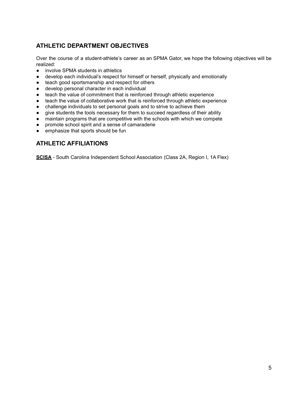# **ATHLETIC DEPARTMENT OBJECTIVES**

Over the course of a student-athlete's career as an SPMA Gator, we hope the following objectives will be realized:

- involve SPMA students in athletics
- develop each individual's respect for himself or herself, physically and emotionally
- teach good sportsmanship and respect for others
- develop personal character in each individual
- teach the value of commitment that is reinforced through athletic experience
- teach the value of collaborative work that is reinforced through athletic experience
- challenge individuals to set personal goals and to strive to achieve them
- give students the tools necessary for them to succeed regardless of their ability
- maintain programs that are competitive with the schools with which we compete
- promote school spirit and a sense of camaraderie
- emphasize that sports should be fun

# **ATHLETIC AFFILIATIONS**

**SCISA** - South Carolina Independent School Association (Class 2A, Region I, 1A Flex)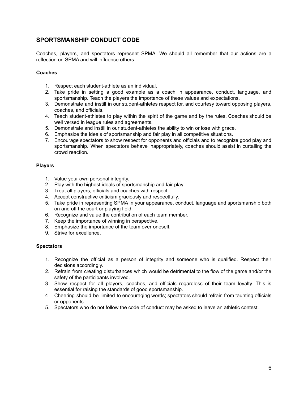# **SPORTSMANSHIP CONDUCT CODE**

Coaches, players, and spectators represent SPMA. We should all remember that our actions are a reflection on SPMA and will influence others.

## **Coaches**

- 1. Respect each student-athlete as an individual.
- 2. Take pride in setting a good example as a coach in appearance, conduct, language, and sportsmanship. Teach the players the importance of these values and expectations.
- 3. Demonstrate and instill in our student-athletes respect for, and courtesy toward opposing players, coaches, and officials.
- 4. Teach student-athletes to play within the spirit of the game and by the rules. Coaches should be well versed in league rules and agreements.
- 5. Demonstrate and instill in our student-athletes the ability to win or lose with grace.
- 6. Emphasize the ideals of sportsmanship and fair play in all competitive situations.
- 7. Encourage spectators to show respect for opponents and officials and to recognize good play and sportsmanship. When spectators behave inappropriately, coaches should assist in curtailing the crowd reaction.

## **Players**

- 1. Value your own personal integrity.
- 2. Play with the highest ideals of sportsmanship and fair play.
- 3. Treat all players, officials and coaches with respect.
- 4. Accept constructive criticism graciously and respectfully.
- 5. Take pride in representing SPMA in your appearance, conduct, language and sportsmanship both on and off the court or playing field.
- 6. Recognize and value the contribution of each team member.
- 7. Keep the importance of winning in perspective.
- 8. Emphasize the importance of the team over oneself.
- 9. Strive for excellence.

## **Spectators**

- 1. Recognize the official as a person of integrity and someone who is qualified. Respect their decisions accordingly.
- 2. Refrain from creating disturbances which would be detrimental to the flow of the game and/or the safety of the participants involved.
- 3. Show respect for all players, coaches, and officials regardless of their team loyalty. This is essential for raising the standards of good sportsmanship.
- 4. Cheering should be limited to encouraging words; spectators should refrain from taunting officials or opponents.
- 5. Spectators who do not follow the code of conduct may be asked to leave an athletic contest.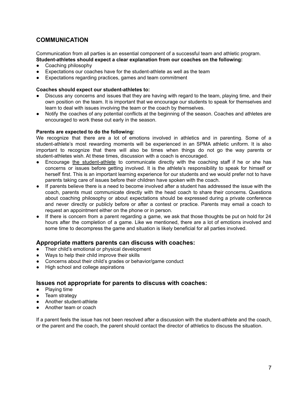# **COMMUNICATION**

Communication from all parties is an essential component of a successful team and athletic program. **Student-athletes should expect a clear explanation from our coaches on the following:**

- Coaching philosophy
- Expectations our coaches have for the student-athlete as well as the team
- Expectations regarding practices, games and team commitment

## **Coaches should expect our student-athletes to:**

- Discuss any concerns and issues that they are having with regard to the team, playing time, and their own position on the team. It is important that we encourage our students to speak for themselves and learn to deal with issues involving the team or the coach by themselves.
- Notify the coaches of any potential conflicts at the beginning of the season. Coaches and athletes are encouraged to work these out early in the season.

## **Parents are expected to do the following:**

We recognize that there are a lot of emotions involved in athletics and in parenting. Some of a student-athlete's most rewarding moments will be experienced in an SPMA athletic uniform. It is also important to recognize that there will also be times when things do not go the way parents or student-athletes wish. At these times, discussion with a coach is encouraged.

- Encourage the student-athlete to communicate directly with the coaching staff if he or she has concerns or issues before getting involved. It is the athlete's responsibility to speak for himself or herself first. This is an important learning experience for our students and we would prefer not to have parents taking care of issues before their children have spoken with the coach.
- If parents believe there is a need to become involved after a student has addressed the issue with the coach, parents must communicate directly with the head coach to share their concerns. Questions about coaching philosophy or about expectations should be expressed during a private conference and never directly or publicly before or after a contest or practice. Parents may email a coach to request an appointment either on the phone or in person.
- If there is concern from a parent regarding a game, we ask that those thoughts be put on hold for 24 hours after the completion of a game. Like we mentioned, there are a lot of emotions involved and some time to decompress the game and situation is likely beneficial for all parties involved.

## **Appropriate matters parents can discuss with coaches:**

- Their child's emotional or physical development
- Ways to help their child improve their skills
- Concerns about their child's grades or behavior/game conduct
- High school and college aspirations

## **Issues not appropriate for parents to discuss with coaches:**

- Playing time
- Team strategy
- Another student-athlete
- Another team or coach

If a parent feels the issue has not been resolved after a discussion with the student-athlete and the coach, or the parent and the coach, the parent should contact the director of athletics to discuss the situation.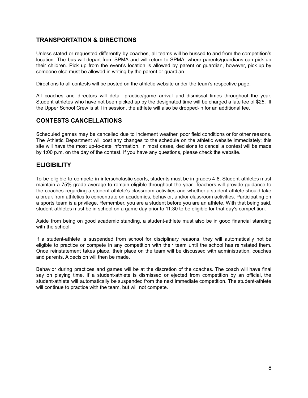# **TRANSPORTATION & DIRECTIONS**

Unless stated or requested differently by coaches, all teams will be bussed to and from the competition's location. The bus will depart from SPMA and will return to SPMA, where parents/guardians can pick up their children. Pick up from the event's location is allowed by parent or guardian, however, pick up by someone else must be allowed in writing by the parent or guardian.

Directions to all contests will be posted on the athletic website under the team's respective page.

All coaches and directors will detail practice/game arrival and dismissal times throughout the year. Student athletes who have not been picked up by the designated time will be charged a late fee of \$25. If the Upper School Crew is still in session, the athlete will also be dropped-in for an additional fee.

# **CONTESTS CANCELLATIONS**

Scheduled games may be cancelled due to inclement weather, poor field conditions or for other reasons. The Athletic Department will post any changes to the schedule on the athletic website immediately; this site will have the most up-to-date information. In most cases, decisions to cancel a contest will be made by 1:00 p.m. on the day of the contest. If you have any questions, please check the website.

# **ELIGIBILITY**

To be eligible to compete in interscholastic sports, students must be in grades 4-8. Student-athletes must maintain a 75% grade average to remain eligible throughout the year. Teachers will provide guidance to the coaches regarding a student-athlete's classroom activities and whether a student-athlete should take a break from athletics to concentrate on academics, behavior, and/or classroom activities. Participating on a sports team is a privilege. Remember, you are a student before you are an athlete. With that being said, student-athletes must be in school on a game day prior to 11:30 to be eligible for that day's competition.

Aside from being on good academic standing, a student-athlete must also be in good financial standing with the school.

If a student-athlete is suspended from school for disciplinary reasons, they will automatically not be eligible to practice or compete in any competition with their team until the school has reinstated them. Once reinstatement takes place, their place on the team will be discussed with administration, coaches and parents. A decision will then be made.

Behavior during practices and games will be at the discretion of the coaches. The coach will have final say on playing time. If a student-athlete is dismissed or ejected from competition by an official, the student-athlete will automatically be suspended from the next immediate competition. The student-athlete will continue to practice with the team, but will not compete.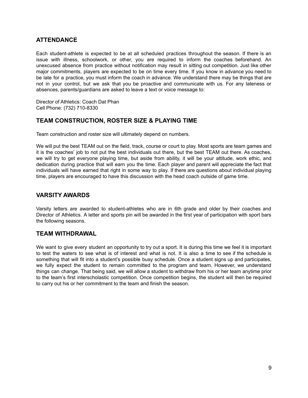# **ATTENDANCE**

Each student-athlete is expected to be at all scheduled practices throughout the season. If there is an issue with illness, schoolwork, or other, you are required to inform the coaches beforehand. An unexcused absence from practice without notification may result in sitting out competition. Just like other major commitments, players are expected to be on time every time. If you know in advance you need to be late for a practice, you must inform the coach in advance. We understand there may be things that are not in your control, but we ask that you be proactive and communicate with us. For any lateness or absences, parents/guardians are asked to leave a text or voice message to:

Director of Athletics: Coach Dat Phan Cell Phone: (732) 710-8330

# **TEAM CONSTRUCTION, ROSTER SIZE & PLAYING TIME**

Team construction and roster size will ultimately depend on numbers.

We will put the best TEAM out on the field, track, course or court to play. Most sports are team games and it is the coaches' job to not put the best individuals out there, but the best TEAM out there. As coaches, we will try to get everyone playing time, but aside from ability, it will be your attitude, work ethic, and dedication during practice that will earn you the time. Each player and parent will appreciate the fact that individuals will have earned that right in some way to play. If there are questions about individual playing time, players are encouraged to have this discussion with the head coach outside of game time.

## **VARSITY AWARDS**

Varsity letters are awarded to student-athletes who are in 6th grade and older by their coaches and Director of Athletics. A letter and sports pin will be awarded in the first year of participation with sport bars the following seasons.

# **TEAM WITHDRAWAL**

We want to give every student an opportunity to try out a sport. It is during this time we feel it is important to test the waters to see what is of interest and what is not. It is also a time to see if the schedule is something that will fit into a student's possible busy schedule. Once a student signs up and participates, we fully expect the student to remain committed to the program and team. However, we understand things can change. That being said, we will allow a student to withdraw from his or her team anytime prior to the team's first interscholastic competition. Once competition begins, the student will then be required to carry out his or her commitment to the team and finish the season.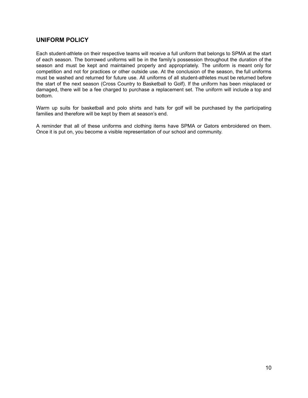# **UNIFORM POLICY**

Each student-athlete on their respective teams will receive a full uniform that belongs to SPMA at the start of each season. The borrowed uniforms will be in the family's possession throughout the duration of the season and must be kept and maintained properly and appropriately. The uniform is meant only for competition and not for practices or other outside use. At the conclusion of the season, the full uniforms must be washed and returned for future use. All uniforms of all student-athletes must be returned before the start of the next season (Cross Country to Basketball to Golf). If the uniform has been misplaced or damaged, there will be a fee charged to purchase a replacement set. The uniform will include a top and bottom.

Warm up suits for basketball and polo shirts and hats for golf will be purchased by the participating families and therefore will be kept by them at season's end.

A reminder that all of these uniforms and clothing items have SPMA or Gators embroidered on them. Once it is put on, you become a visible representation of our school and community.